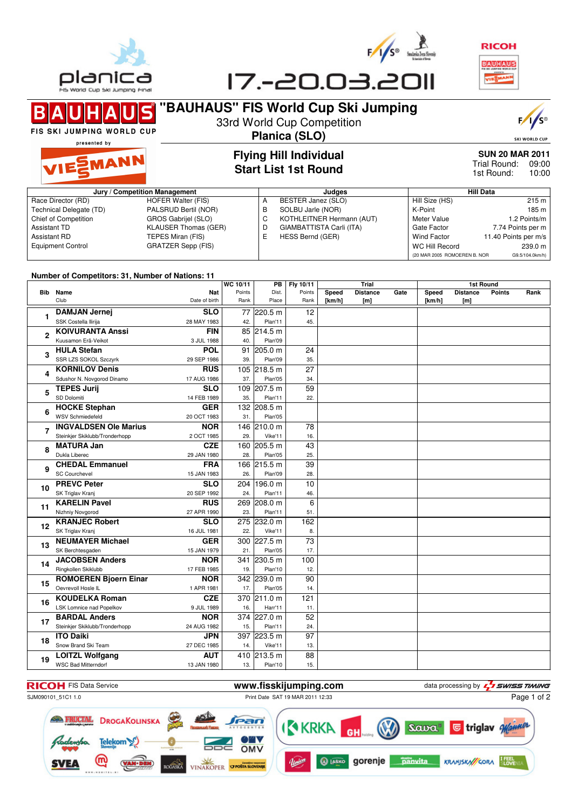

C





## **"BAUHAUS" FIS World Cup Ski Jumping** 33rd World Cup Competition

R FIS SKI JUMPING WORLD CUP

## **Planica (SLO)**



presented by



## **Flying Hill Individual Start List 1st Round**

**SUN 20 MAR 2011** 09:00 Trial Round: 10:00 1st Round:

| Jury / Competition Management |                             |   | Judges                    | <b>Hill Data</b>             |                      |  |
|-------------------------------|-----------------------------|---|---------------------------|------------------------------|----------------------|--|
| Race Director (RD)            | HOFER Walter (FIS)          |   | BESTER Janez (SLO)        | Hill Size (HS)               | 215 m                |  |
| Technical Delegate (TD)       | PALSRUD Bertil (NOR)        | в | SOLBU Jarle (NOR)         | K-Point                      | 185 m l              |  |
| Chief of Competition          | GROS Gabrijel (SLO)         |   | KOTHLEITNER Hermann (AUT) | Meter Value                  | 1.2 Points/m         |  |
| Assistant TD                  | <b>KLAUSER Thomas (GER)</b> |   | GIAMBATTISTA Carli (ITA)  | Gate Factor                  | 7.74 Points per m    |  |
| Assistant RD                  | TEPES Miran (FIS)           |   | HESS Bernd (GER)          | Wind Factor                  | 11.40 Points per m/s |  |
| <b>Equipment Control</b>      | GRATZER Sepp (FIS)          |   |                           | <b>WC Hill Record</b>        | 239.0 m              |  |
|                               |                             |   |                           | (20 MAR 2005 ROMOEREN B. NOR | G9.5/104.0km/h)      |  |

#### **Number of Competitors: 31, Number of Nations: 11**

|             |                                 |               | WC 10/11 | PB          | Fly 10/11 | <b>Trial</b> |                 |      | 1st Round |                 |               |      |  |
|-------------|---------------------------------|---------------|----------|-------------|-----------|--------------|-----------------|------|-----------|-----------------|---------------|------|--|
|             | <b>Bib</b> Name                 | Nat           | Points   | Dist.       | Points    | Speed        | <b>Distance</b> | Gate | Speed     | <b>Distance</b> | <b>Points</b> | Rank |  |
|             | Club                            | Date of birth | Rank     | Place       | Rank      | [ $km/h$ ]   | [m]             |      | [km/h]    | [m]             |               |      |  |
| 1           | <b>DAMJAN Jernej</b>            | <b>SLO</b>    |          | 77 220.5 m  | 12        |              |                 |      |           |                 |               |      |  |
|             | SSK Costella Ilirija            | 28 MAY 1983   | 42.      | Plan'11     | 45.       |              |                 |      |           |                 |               |      |  |
|             | <b>KOIVURANTA Anssi</b>         | <b>FIN</b>    |          | 85 214.5 m  |           |              |                 |      |           |                 |               |      |  |
| $\mathbf 2$ | Kuusamon Erä-Veikot             | 3 JUL 1988    | 40.      | Plan'09     |           |              |                 |      |           |                 |               |      |  |
| 3           | <b>HULA Stefan</b>              | <b>POL</b>    | 91       | 205.0 m     | 24        |              |                 |      |           |                 |               |      |  |
|             | SSR LZS SOKOL Szczyrk           | 29 SEP 1986   | 39.      | Plan'09     | 35.       |              |                 |      |           |                 |               |      |  |
| 4           | <b>KORNILOV Denis</b>           | <b>RUS</b>    |          | 105 218.5 m | 27        |              |                 |      |           |                 |               |      |  |
|             | Sdushor N. Novgorod Dinamo      | 17 AUG 1986   | 37.      | Plan'05     | 34.       |              |                 |      |           |                 |               |      |  |
| 5           | <b>TEPES Jurij</b>              | <b>SLO</b>    |          | 109 207.5 m | 59        |              |                 |      |           |                 |               |      |  |
|             | SD Dolomiti                     | 14 FEB 1989   | 35.      | Plan'11     | 22.       |              |                 |      |           |                 |               |      |  |
| 6           | <b>HOCKE Stephan</b>            | <b>GER</b>    |          | 132 208.5 m |           |              |                 |      |           |                 |               |      |  |
|             | <b>WSV Schmiedefeld</b>         | 20 OCT 1983   | 31.      | Plan'05     |           |              |                 |      |           |                 |               |      |  |
| 7           | <b>INGVALDSEN Ole Marius</b>    | <b>NOR</b>    |          | 146 210.0 m | 78        |              |                 |      |           |                 |               |      |  |
|             | Steinkjer Skiklubb/Tronderhopp  | 2 OCT 1985    | 29.      | Vike'11     | 16.       |              |                 |      |           |                 |               |      |  |
| 8           | <b>MATURA Jan</b>               | <b>CZE</b>    |          | 160 205.5 m | 43        |              |                 |      |           |                 |               |      |  |
|             | Dukla Liberec                   | 29 JAN 1980   | 28.      | Plan'05     | 25.       |              |                 |      |           |                 |               |      |  |
| 9           | <b>CHEDAL Emmanuel</b>          | <b>FRA</b>    |          | 166 215.5 m | 39        |              |                 |      |           |                 |               |      |  |
|             | <b>SC Courchevel</b>            | 15 JAN 1983   | 26.      | Plan'09     | 28.       |              |                 |      |           |                 |               |      |  |
| 10          | <b>PREVC Peter</b>              | <b>SLO</b>    | 204      | 196.0 m     | 10        |              |                 |      |           |                 |               |      |  |
|             | SK Triglav Kranj                | 20 SEP 1992   | 24.      | Plan'11     | 46.       |              |                 |      |           |                 |               |      |  |
| 11          | <b>KARELIN Pavel</b>            | <b>RUS</b>    |          | 269 208.0 m | 6         |              |                 |      |           |                 |               |      |  |
|             | Nizhniy Novgorod                | 27 APR 1990   | 23.      | Plan'11     | 51.       |              |                 |      |           |                 |               |      |  |
| 12          | <b>KRANJEC Robert</b>           | <b>SLO</b>    |          | 275 232.0 m | 162       |              |                 |      |           |                 |               |      |  |
|             | SK Triglav Kranj                | 16 JUL 1981   | 22.      | Vike'11     | 8.        |              |                 |      |           |                 |               |      |  |
| 13          | <b>NEUMAYER Michael</b>         | <b>GER</b>    |          | 300 227.5 m | 73        |              |                 |      |           |                 |               |      |  |
|             | SK Berchtesgaden                | 15 JAN 1979   | 21.      | Plan'05     | 17.       |              |                 |      |           |                 |               |      |  |
| 14          | <b>JACOBSEN Anders</b>          | <b>NOR</b>    |          | 341 230.5 m | 100       |              |                 |      |           |                 |               |      |  |
|             | Ringkollen Skiklubb             | 17 FEB 1985   | 19.      | Plan'10     | 12.       |              |                 |      |           |                 |               |      |  |
| 15          | <b>ROMOEREN Bjoern Einar</b>    | <b>NOR</b>    |          | 342 239.0 m | 90        |              |                 |      |           |                 |               |      |  |
|             | Oevrevoll Hosle IL              | 1 APR 1981    | 17.      | Plan'05     | 14.       |              |                 |      |           |                 |               |      |  |
| 16          | <b>KOUDELKA Roman</b>           | <b>CZE</b>    |          | 370 211.0 m | 121       |              |                 |      |           |                 |               |      |  |
|             | <b>LSK Lomnice nad Popelkov</b> | 9 JUL 1989    | 16.      | Harr'11     | 11.       |              |                 |      |           |                 |               |      |  |
| 17          | <b>BARDAL Anders</b>            | <b>NOR</b>    |          | 374 227.0 m | 52        |              |                 |      |           |                 |               |      |  |
|             | Steinkjer Skiklubb/Tronderhopp  | 24 AUG 1982   | 15.      | Plan'11     | 24.       |              |                 |      |           |                 |               |      |  |
| 18          | <b>ITO Daiki</b>                | <b>JPN</b>    |          | 397 223.5 m | 97        |              |                 |      |           |                 |               |      |  |
|             | Snow Brand Ski Team             | 27 DEC 1985   | 14.      | Vike'11     | 13.       |              |                 |      |           |                 |               |      |  |
| 19          | <b>LOITZL Wolfgang</b>          | <b>AUT</b>    |          | 410 213.5 m | 88        |              |                 |      |           |                 |               |      |  |
|             | <b>WSC Bad Mitterndorf</b>      | 13 JAN 1980   | 13.      | Plan'10     | 15.       |              |                 |      |           |                 |               |      |  |